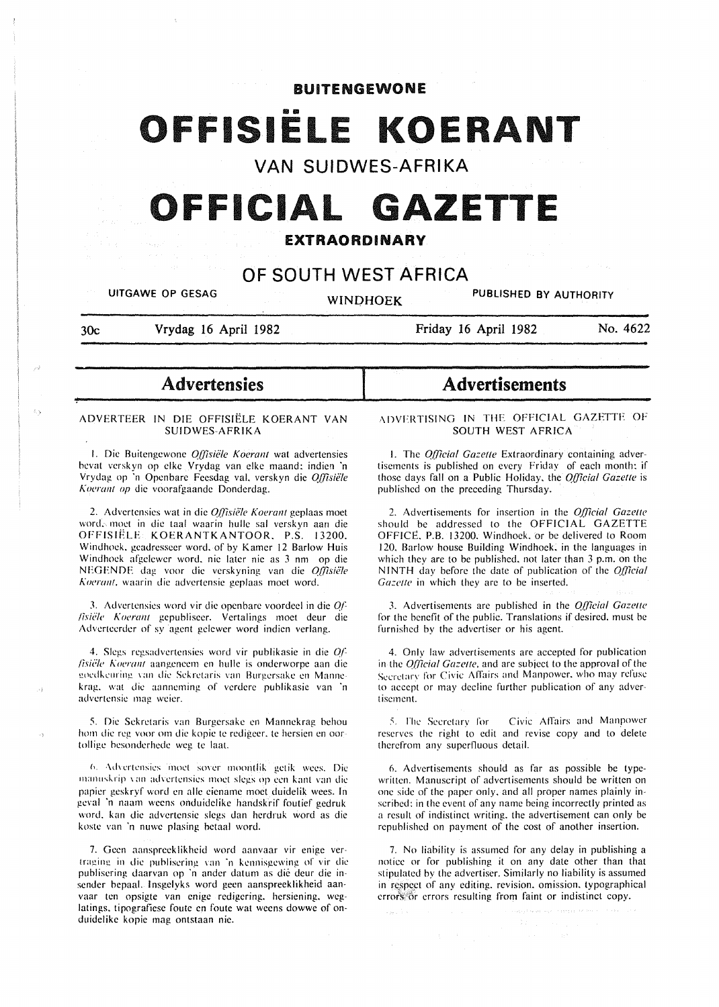# **BUITENGEWONE**

# FISIËLE KOERANT

**VAN SUIDWES-AFRIKA** 

# **OFFICIAL GAZETTE**

# **EXTRAORDINARY**

# **OF SOUTH WEST AFRICA**

**UITGAWE OP GESAG WINOHOEK PUBLISHED BY AUTHORITY** 

'!""'

**30c Vrydag 16 April 1982** 

**Friday 16 April 1982 No. 4622** 

# - **Advertensies**

#### ADYERTEER IN DIE OFFISIELE KOERANT VAN SUIDWES-AFRIKA

f. Die Buitengcwone *0.(/isiiile Koerant* wat advertensies hevat verskyn op elke Vrydag van elke maand: indien 'n Vrydag op 'n Openbare Feesdag val. verskyn die *Offisiële Kocrant op* die voorafgaande Donderdag.

2. Advertensies wat in die *Offisiële Koerant* geplaas moet word. moct in die taal waarin hullc sal verskyn aan die OFFISIELE KOERANTKANTOOR. P.S. 13200. Windhoek. geadresseer word. of by Kamer 12 Barlow Huis Windhoek afgelewer word, nie later nie as 3 nm op die NEGENDE dag voor die verskyning van die *Offisiële Kucrant.* waarin die advertensie gcplaas moet word.

3. Adverlensics word vir die open hare voordeel in die *O.f- /isiz:le Koaant* gepubliseer. Vertalings moet deur die Adverteerder of sy agent gelewer word indien verlang.

4. Slcgs regsadvcrtcnsies word vir puhlikasic in die *O.f lisiële Koerant* aangeneem en hulle is onderworpe aan die goedkeuring van die Sekretaris van Burgersake en Mannekrag. wat die aanneming of vcrderc publikasic van 'n advcrtcnsic mag wcicr.

5. Die Sckrctaris van Burgcrsakc en Mannckrag hehou hom die reg voor om die kopie te redigeer, te hersien en oortolligc hesondcrhcdc wcg tc laat.

6. Advertensies inoet sover moontlik getik wees. Die manuskrip van advertensies moet slegs op een kant van die papicr geskryf word en aile cicnamc moct duidelik wccs. In gcval 'n naam weens onduidclike handskrif fouticf gedruk word. kan die advcrtcnsic slegs dan hcrdruk word as die kostc van 'n nuwc plasing betaal word.

7. Geen aanspreeklikheid word aanvaar vir enige vertraging in die publisering van 'n kennisgewing of vir die publisering daarvan op 'n ander datum as die deur die insender bepaal. lnsgelyks word geen aanspreeklikheid aanvaar ten opsigte van enige redigering. hersiening. weglatings, tipografiese foute en foute wat weens dowwe of onduidelikc kopie mag ontstaan nie.

# **Advertisements**

,\DVFRTISING IN THE OFFICIAL GAZETTF OF SOUTH WEST AFRICA

1. The *Official Gazette* Extraordinary containing advertisements is published on every Friday of each month: if those days fall on a Public Holiday. the *Q{!'icial Gazelle* is published on the preceding Thursday.

2. Advertisements for insertion in the *Official Gazette* should be addressed to the OFFICIAL GAZETTE OFFICE. P.B. 13200. Windhoek. or be delivered to Room 120. Barlow house Building Windhoek. in the languages in which they are to be published. not later than 3 p.m. on the NINTH day before the date of publication of the *Official* Gazette in which they are to be inserted.

3. Advertisements arc published in the *Q[/icial Gazelle*  for the benefit of the public. Translations if desired. must be furnished by the advertiser or his agent.

4. Only law advertisements arc accepted for publication in the *Q{ficial Gazelle,* and are subject to the approval of the Secretary for Civic Affairs and Manpower, who may refuse to accept or may decline further publication of any advertisement.

*5.* !'he Secretary for Civic AfTairs and Manpower reserves the right to edit and revise copy and to delete therefrom any superfluous detail.

6. Advertisements should as far as possible be typewritten. Manuscript of advertisements should be written on one side of the paper only. and all proper names plainly inscrihed: in the event of any name being incorrectly printed as a result of indistinct writing. the advertisement can only be republished on payment of the cost of another insertion.

7. No liability is assumed for any delay in publishing a notice or for puhlishing it on any date other than that stipulated by the advertiser. Similarly no liability is assumed in respect of any editing. revision. omission. typographical crror's:'6r errors resulting from faint or indistinct copy.

salah s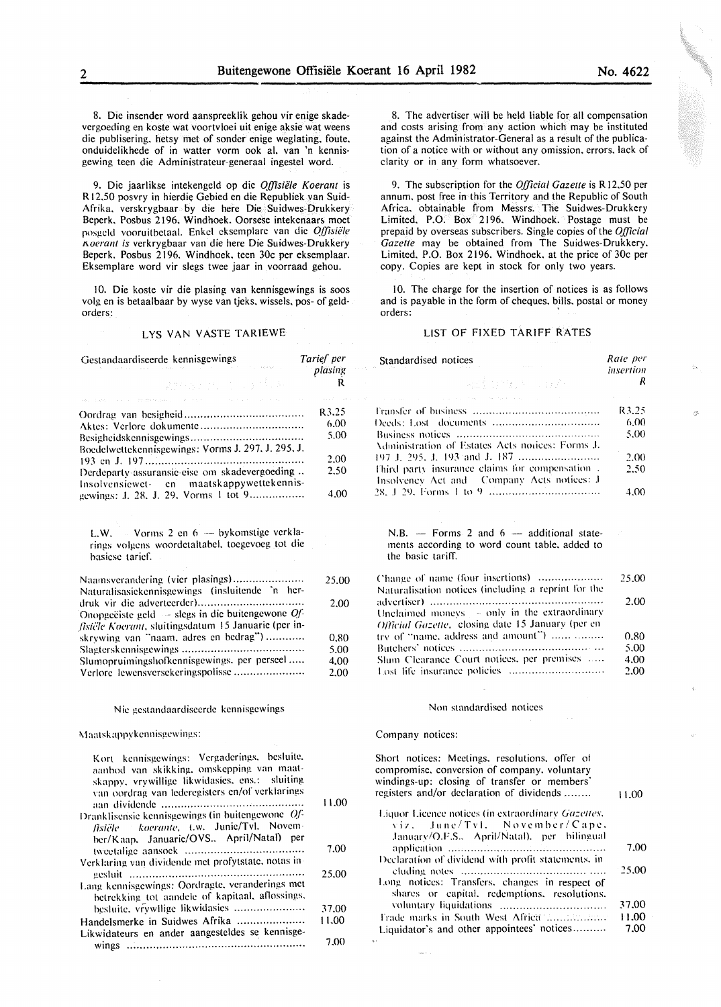8. Die insender word aanspreeklik gehou vir enige skadevergoeding en koste wat voortvloei uit enige aksie wat weens die publisering. hetsy met of sonder enige weglating, foute, onduidelikhede of in watter vorm ook al, van 'n kennisgewing teen die Administrateur-generaal ingestel word.

9. Die jaarlikse intekengeld op die *Offisiele Koerant* is R 12.50 posvry in hierdie Gebied en die Republiek van Suid-Afrika. verskrygbaar by die here Die Suidwes-Drukkery Beperk. Posbus 2196. Windhoek. Oorsese intekenaars moet posgeld vooruitbetaal. Enkel eksemplare van die *Offisiële 1\oerant is* vcrkrygbaar van die here Die Suidwes-Drukkery Beperk. Posbus 2196. Windhoek. teen 30c per eksemplaar. Eksemplare word vir slegs twee jaar in voorraad gehou.

10. Die koste vir die plasing van kennisgewings is soos volg en is betaalbaar by wyse van tjeks. wissels. pos- of geldorders:

# LYS VAN VASTE TARIEWE

8. The advertiser will be held liable for all compensation and costs arising from any action which may be instituted against the Administrator-General as a result of the publication of a notice with or without any omission. errors, lack of clarity or in any form whatsoever.

9. The subscription for the *Official Gazelle* is R 12.50 per annum, post free in this Territory and the Republic of South Africa. obtainable from Messrs. The Suidwes-Drukkery Limited. P.O. Box 2196. Windhoek. Postage must be prepaid by overseas subscribers. Single copies of the *Official Gazelte* may be obtained from The Suidwes-Drukkery. Limited. P.O. Box 2196. Windhoek. at the price of 30c per copy. Copies are kept in stock for only two years.

10. The charge for the insertion of notices is as follows and is payable in the form of cheques. bills, postal or money orders:

#### LIST OF FIXED TARIFF RATES

windings-up: closing of transfer or members' registers and/or declaration of dividends ........ Liquor Licence notices (in extraordinary Gazettes. viz. June/Tvl. November/Cape. January/O.F.S.. April/Natal), per bilingual application ............................................... . Declaration of dividend with profit statements, in cludin.l!. notes .......................................... . Long notices: Transfers. changes in respect of shares or capital. redemptions. resolutions. n>luntary liquidations ............................... . Frade marks in South West Africa .................... Liquidator's and other appointees' notices ......... .

11.00

7.00 25.00

37.00 11.00 7.00

| Gestandaardiseerde kennisgewings                                                                             | Tarief per<br>plasing | Standardised notices                                                                                             | Rate per<br>insertion |
|--------------------------------------------------------------------------------------------------------------|-----------------------|------------------------------------------------------------------------------------------------------------------|-----------------------|
| ang mangala                                                                                                  | R.                    | <b>Adjuster</b> County                                                                                           | R                     |
| and there is a control to determine the state of the state of the state of the state of the                  | R3.25                 | and the contract of the contract of the contract of the                                                          | R3.25                 |
|                                                                                                              | 6.00                  |                                                                                                                  | 6.00                  |
|                                                                                                              | 5.00                  |                                                                                                                  | 5.00                  |
| Boedelwettekennisgewings: Vorms J. 297, J. 295, J.                                                           |                       | Administration of Estates Acts notices: Forms J.                                                                 |                       |
|                                                                                                              | 2.00                  |                                                                                                                  | 2.00                  |
| Derdeparty-assuransie-eise om skadevergoeding                                                                | 2.50                  | Third party insurance claims for compensation.<br>Insolvency Act and Company Acts notices: J                     | 2.50                  |
| Insolvensiewet- en maatskappywettekennis-<br>gewings: J. 28, J. 29, Vorms 1 tot 9                            | 4.00                  |                                                                                                                  | 4.00                  |
| L.W. Vorms 2 en 6 - bykomstige verkla-<br>rings volgens woordetaltabel, toegevoeg tot die<br>basiese tarief. |                       | N.B. - Forms 2 and $6$ - additional state-<br>ments according to word count table, added to<br>the basic tariff. |                       |
| Naamsverandering (vier plasings)<br>Naturalisasiekennisgewings (insluitende 'n her-                          | 25.00                 | Change of name (four insertions)<br>Naturalisation notices (including a reprint for the                          | 25.00                 |
| Onopgeëiste geld $-$ slegs in die buitengewone Of-<br>fisiële Koerant, sluitingsdatum 15 Januarie (per in-   | 2.00                  | Unclaimed moneys $\sim$ only in the extraordinary<br>Official Gazette, closing date 15 January (per en           | 2.00                  |
| skrywing van "naam, adres en bedrag")                                                                        | 0.80                  | try of "name, address and amount")                                                                               | 0.80                  |
|                                                                                                              | 5.00                  |                                                                                                                  | 5.00                  |
| Slumopruimingshofkennisgewings, per perseel                                                                  | 4.00                  | Slum Clearance Court notices, per premises                                                                       | 4.00                  |
| Verlore lewensversekeringspolisse                                                                            | 2.00                  |                                                                                                                  | 2.00                  |
| Nie gestandaardiseerde kennisgewings                                                                         |                       | Non standardised notices                                                                                         |                       |
| Maatskappykennisgewings:                                                                                     |                       | Company notices:                                                                                                 |                       |
| Kort kennisgewings: Vergaderings, besluite,<br>aanbod van skikking, omskepping van maat-                     |                       | Short notices: Meetings, resolutions, offer of<br>compromise, conversion of company, voluntary                   |                       |

| aanbod van skikking, omskepping van maat-<br>skappy, vrywillige likwidasies, ens.: sluiting<br>van oordrag van lederegisters en/of verklarings<br>Dranklisensie kennisgewings (in buitengewone Of-<br>fisiële koerante, t.w. Junie/Tvl. Novem- | 11.00 |
|------------------------------------------------------------------------------------------------------------------------------------------------------------------------------------------------------------------------------------------------|-------|
| ber/Kaap. Januarie/OVS April/Natal) per                                                                                                                                                                                                        | 7.00  |
| Verklaring van dividende met profytstate, notas in-                                                                                                                                                                                            |       |
|                                                                                                                                                                                                                                                | 25.00 |
| Lang kennisgewings: Oordragte, veranderings met<br>betrekking tot aandele of kapitaal, aflossings,                                                                                                                                             |       |
| besluite, vrywllige likwidasies                                                                                                                                                                                                                | 37.00 |
| Handelsmerke in Suidwes Afrika                                                                                                                                                                                                                 | 11.00 |
| Likwidateurs en ander aangesteldes se kennisge-                                                                                                                                                                                                |       |
|                                                                                                                                                                                                                                                | 7.00  |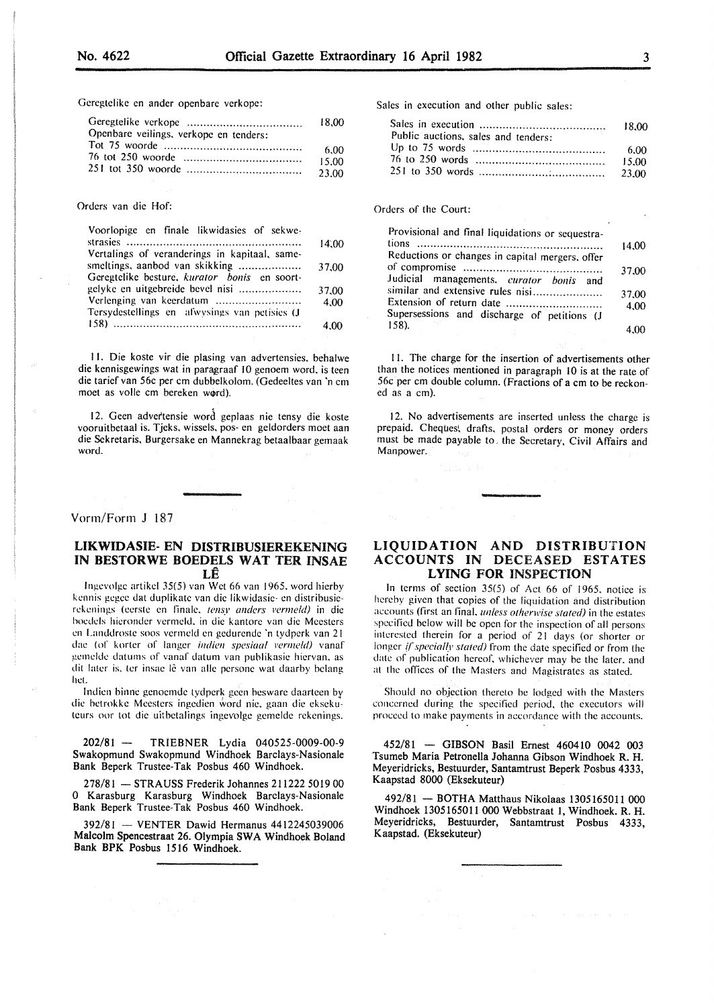Gcrcgtclike en ander openbarc verkope:

|                                        | 18.00 |
|----------------------------------------|-------|
| Openbare veilings, verkope en tenders: |       |
|                                        | 6.00  |
|                                        | 15.00 |
|                                        |       |

#### Orders van die Hof:

| Voorlopige en finale likwidasies of sekwe-    |       |
|-----------------------------------------------|-------|
|                                               | 14.00 |
| Vertalings of veranderings in kapitaal, same- |       |
| smeltings, aanbod van skikking                | 37.00 |
| Geregtelike besture, kurator bonis en soort-  |       |
| gelyke en uitgebreide bevel nisi              | 37.00 |
| Verlenging van keerdatum                      | 4.00  |
| Tersydestellings en afwysings van petisies (J |       |
|                                               | 4.00  |

II. Die koste vir die plasing van advertensies. behalwe die kennisgewings wat in paragraaf 10 genoem word, is teen die tarief van 56c per em dubbelkolom. (Gedeeltes van 'n em moet as volle cm bereken word).

12. Geen advertensie word geplaas nie tensy die koste vooruitbetaal is. Tjeks. wissels. pos- en geldorders moet aan die Sckretaris, Burgersake en Mannekrag betaalbaar gemaak word.

#### Vorm/Form J 187

# LIKWIDASIE- EN DISTRIBUSIEREKENING IN BESTORWE BOEDELS WAT TER INSAE LE

lngevolge artikel 35(5) van Wet 66 van 1965. word hierby kennis gegee dat duplikate van die likwidasie- en distribusierekenings (eerste en finale, tensy anders vermeld) in die hocdels hicrondcr vcrmcld. in die kantorc van die Mcesters en Landdrostc soos vcrmeld en gcdurcndc 'n tydpcrk van 21 dae (of korter of langer *indien spesiaal vermeld)* vanaf gemeldc datums of vanaf datum van publikasic hicrvan. as dit later is, ter insae lê van alle persone wat daarby belang het.

lndicn hinne gcnocmdc tydpcrk gccn bcswarc daartccn by die betrokke Meesters ingedien word nie, gaan die eksekuteurs oor tot die uitbetalings ingevolge gemelde rekenings.

202/81 - TRIEBNER Lydia 040525-0009-00-9 Swakopmund Swakopmund Windhoek Barclays-Nasionale Bank Beperk Trustee-Tak Posbus 460 Windhoek.

278/81 - STRAUSS Frederik Johannes 211222 5019 00 0 Karasburg Karasburg Windhoek Barclays-Nasionale Bank Beperk Trustee-Tak Posbus 460 Windhoek.

392/81 - VENTER Dawid Hermanus 4412245039006 Malcolm Spencestraat 26. Olympia SWA Windhoek Boland Bank BPK Posbus 1516 Windhoek.

Sales in execution and other public sales:

| Public auctions, sales and tenders: |        |
|-------------------------------------|--------|
|                                     | - 6.00 |
|                                     | 15.00  |
|                                     |        |

#### Orders of the Court:

| Provisional and final liquidations or sequestra-     |       |
|------------------------------------------------------|-------|
| tions                                                | 14.00 |
| Reductions or changes in capital mergers, offer      |       |
|                                                      | 37.00 |
| Judicial managements, curator bonis and              |       |
| similar and extensive rules nisi                     | 37.00 |
|                                                      | 4.00  |
| Supersessions and discharge of petitions (J<br>158). |       |
|                                                      |       |

II. The charge for the insertion of advertisements other than the notices mentioned in paragraph 10 is at the rate of 56c per em double column. (Fractions of a em to be reckoned as a em).

12. No advertisements are inserted unless the charge is prepaid. Cheques, drafts, postal orders or money orders must be made payable to. the Secretary, Civil Affairs and Manpower.

### LIQUIDATION AND DISTRIBUTION ACCOUNTS IN DECEASED ESTATES LYING FOR INSPECTION

In terms of section 35(5) of Act 66 of 1965. notice is hereby given that copies of the liquidation and distribution accounts (first an final. *Ulllcss otherwise stated)* in the estates specified below will be open for the inspection of all persons interested therein for a period of 21 days (or shorter or longer *if specially stated)* from the date specified or from the date of publication hereof. whichever may be the later. and at the offices of the Masters and Magistrates as stated.

Should no objection thereto be lodged with the Masters concerned during the specified period. the executors will proceed to make payments in accordance with the accounts.

452/81 - GIBSON Basil Ernest 460410 0042 003 Tsumeb Maria Petronella Johanna Gibson Windhoek R. H. Meyeridricks, Bestuurder, Santamtrust Beperk Posbus 4333, Kaapstad 8000 (Eksekuteur)

492/81 - BOTHA Matthaus Nikolaas 1305165011 000 Windhoek 1305165011 000 Webbstraat I, Windhoek. R. H. Meyeridricks, Bestuurder, Santamtrust Posbus 4333, Kaapstad. (Eksekuteur)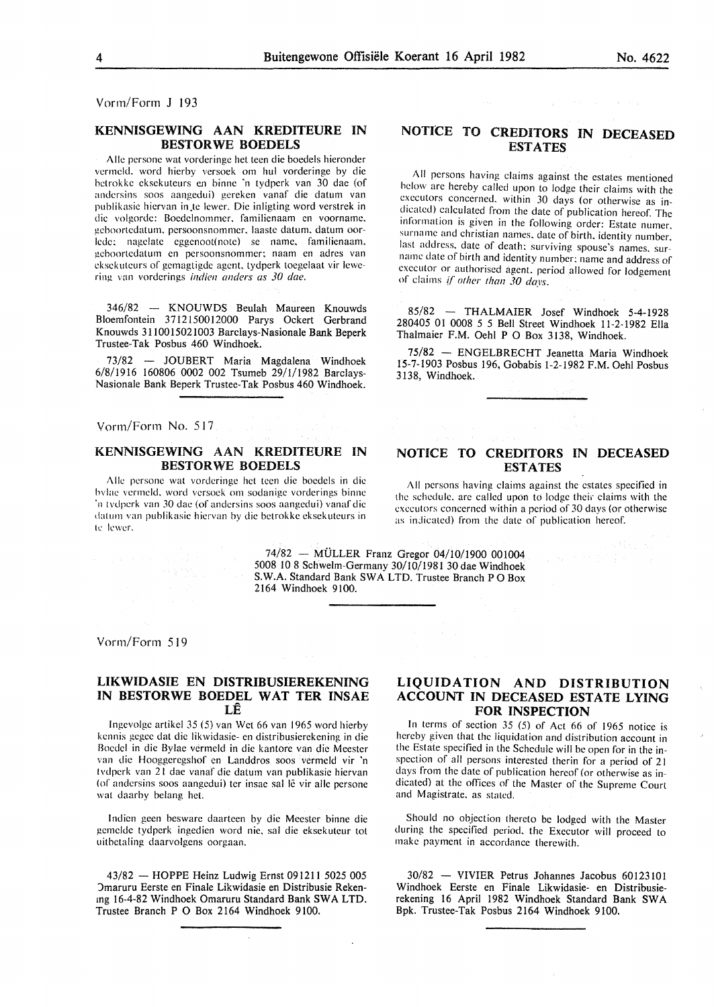Vorm/Form J 193

### KENNISGEWING AAN KREDITEURE IN BESTORWE BOEDELS

Aile persone wat vorderinge het teen die boedels hieronder vermeld. word hierby versoek om hul vorderinge by die betrokke eksekuteurs en binne 'n tydperk van 30 dae (of andcrsins soos aangedui) gcrckcn vanaf die datum van publikasie hiervan in te lewer. Die inligting word verstrek in die volgorde: Boedelnommer, familienaam en voorname, gcboortcdatum. persoonsnommcr. laaste datum. datum oorlcde: nagclatc eggenoot(notc) se name. familienaarn. gcboortedaturn en persoonsnommer: naam en adres van cksekutcurs of gernagtigde agent. tydperk toegelaat vir !ewering van vorderings *indien wulers as 30 dae.* 

346/82 - KNOUWDS Beulah Maureen Knouwds Bloemfontein 3712150012000 Parys Ockert Gerbrand Knouwds 3110015021003 Barclays-Nasionale Bank Beperk Trustee-Tak Posbus 460 Windhoek.

73/82 - JOUBERT Maria Magdalena Windhoek 6/8/1916 160806 0002 002 Tsumeb 29/1/1982 Barclavs-Nasionale Bank Beperk Trustee-Tak Posbus 460 Windhoek.

Vorm/Form No. 517

# KENNISGEWING AAN KREDITEURE IN BESTORWE BOEDELS

Aile persone wat vordcringe het teen die boedels in die bvlac vcrmcld. word versoek om sodanige vorderings binnc ·n tvdperk van 30 dac (of andersins soos aangedui) vanaf die datum van publikasie hicrvan by die betrokke cksckutcurs in tc !ewer.

# NOTICE TO CREDITORS IN DECEASED ESTATES

Signal Control

All persons having claims against the estates mentioned below arc hereby called upon to lodge their claims with the executors concerned. within 30 days (or otherwise as indicated) calculated from the date of publication hereof. The information is given in the following order: Estate numer. surname and christian names. date of birth. identity number. last address. date of death: surviving spouse's names. surname date of birth and identity number: name and address of executor or authorised agent. period allowed for lodgement of claims if *other than 30 days.* 

85/82 - THALMAIER Josef Windhoek 5-4-1928 280405 01 0008 5 5 Bell Street Windhoek 11-2-1982 Ella Thalmaier F.M. Oehl P 0 Box 3138, Windhoek.

75/82 - ENGELBRECHT Jeanetta Maria Windhoek 15-7-1903 Posbus 196, Gobabis 1-2-1982 F.M. Oehl Posbus 3138, Windhoek.

# NOTICE TO CREDITORS IN DECEASED **ESTATES**

All persons having claims against the estates specified in the schedule, are called upon to lodge their claims with the executors concerned within a period of 30 days (or otherwise as indicated) from the date of publication hereof.

74/82 - MULLER Franz Gregor 04/10/1900 001004 5008 10 8 Schwelm-Germany 30/10/1981 30 dae Windhoek S. W.A. Standard Bank SW A LTD. Trustee Branch P 0 Box 2164 Windhoek 9100.

Vorm/Form 519

#### LIKWIDASIE EN DISTRIBUSIEREKENING IN BESTORWE BOEDEL WAT TER INSAE LE

lngcvolgc artikel 35 (5) van Wet 66 van 1965 word hicrby kcnnis gcgcc dal die likwidasic- en distribusierekening in die Bocdcl in die Bylae verrncld in die kantore van die Meester van die Hooggeregshof en Landdros soos vermeld vir 'n tvdpcrk van 21 dae vanaf die datum van publikasie hicrvan (of andersins soos aangedui) ter insae sal lê vir alle persone wat daarby belang het.

lndicn gecn bcswarc daarteen by die Meester binne die gemcldc tydperk ingcdien word nic. sal die eksckuteur tot uitbetaling daarvolgcns oorgaan.

43/82 - HOPPE Heinz Ludwig Ernst 091211 5025 005 )maruru Eerste en Finale Likwidasie en Distribusie Rekenmg 16-4-82 Windhoek Omaruru Standard Bank SWA LTD. Trustee Branch P 0 Box 2164 Windhoek 9100.

 $\sim$ 

# LIQUIDATION AND DISTRIBUTION ACCOUNT IN DECEASED ESTATE LYING FOR INSPECTION

In terms of section 35 (5) of Act 66 of 1965 notice is hereby given that the liquidation and distribution account in the Estate specified in the Schedule will be open for in the inspection of all persons interested therin for a period of 21 days from the date of publication hereof (or otherwise as in dicated) at the offices of the Master of the Supreme Court and Magistrate. as stated.

Should no objection thereto be lodged with the Master during the specified period. the Executor will proceed to make payment in accordance therewith.

30/82 - VIVIER Petrus Johannes Jacobus 60123101 Windhoek Eerste en Finale Likwidasie- en Distribusierekening 16 April 1982 Windhoek Standard Bank SWA Bpk. Trustee-Tak Posbus 2164 Windhoek 9100.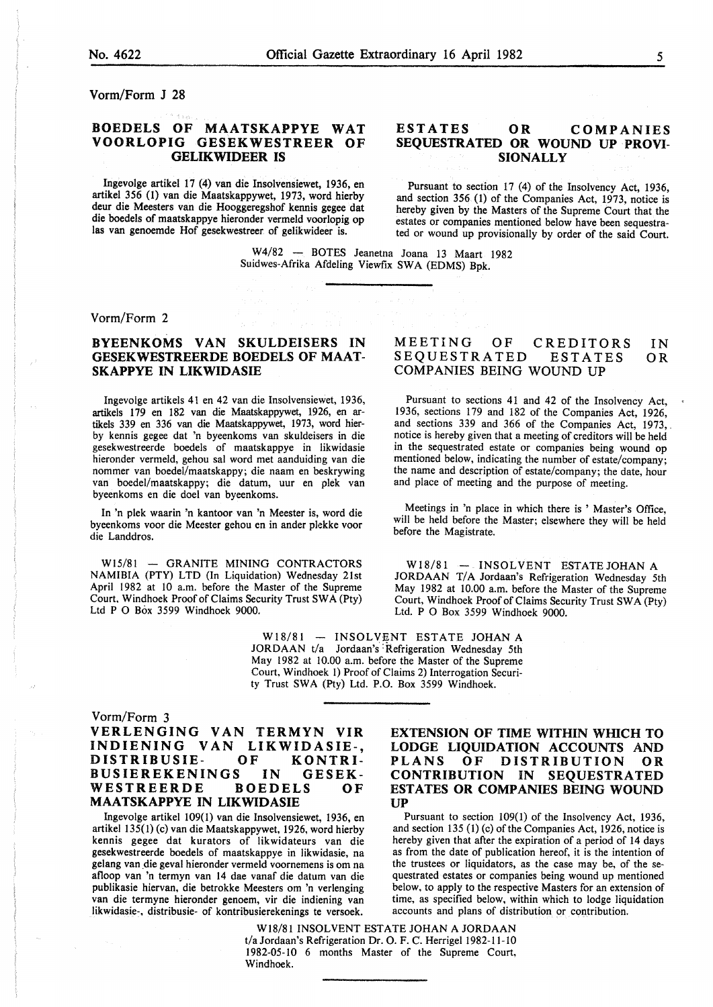Vorm/Form J 28

# BOEDELS OF MAATSKAPPYE WAT VOORLOPIG GESEKWESTREER OF GELIKWIDEER IS

Ingevolge artikel 17 (4) van die Insolvensiewet, 1936, en artikel 356 (1) van die Maatskappywet, 1973, word hierby deur die Meesters van die Hooggeregshof kennis gegee dat die boedels of maatskappye hieronder vermeld voorlopig op las van genoemde Hof gesekwestreer of gelikwideer is.

# ESTATES OR COMPANIES SEQUESTRATED OR WOUND UP PROVI-SIONALLY

Pursuant to section 17 (4) of the Insolvency Act, 1936, and section 356 (1) of the Companies Act, 1973, notice is hereby given by the Masters of the Supreme Court that the estates or companies mentioned below have been sequestrated or wound up provisionally by order of the said Court.

W4/82 - BOTES Jeanetna Joana 13 Maart 1982 Suidwes-Afrika Afdeling Viewfix SWA (EDMS) Bpk.

#### Vorm/Form 2

# BYEENKOMS VAN SKULDEISERS IN GESEKWESTREERDE BOEDELS OF MAAT-SKAPPYE IN LIKWIDASIE

Ingevolge artikels 41 en 42 van die Insolvensiewet, 1936, artikels 179 en 182 van die Maatskappywet, 1926, en artikels 339 en 336 van die Maatskappywet, 1973, word hierby kennis gegee dat 'n byeenkoms van skuldeisers in die gesekwestreerde boedels of maatskappye in likwidasie hieronder vermeld, gehou sal word met aanduiding van die nommer van boedel/maatskappy; die naam en beskrywing van boedel/maatskappy; die datum, uur en plek van byeenkoms en die doe! van byeenkoms.

In 'n plek waarin 'n kantoor van 'n Meester is, word die byeenkoms voor die Meester gehou en in ander plekke voor die Landdros.

W15/81 - GRANITE MINING CONTRACTORS NAMIBIA (PTY) LTD (In Liquidation) Wednesday 21st April 1982 at lO a.m. before the Master of the Supreme Court, Windhoek Proof of Claims Security Trust SW A (Pty) Ltd P 0 Box 3599 Windhoek 9000.

#### MEETING OF CREDITORS SEQUESTRATED ESTATES COMPANIES BEING WOUND UP IN OR

Pursuant to sections 41 and 42 of the Insolvency Act, 1936, sections 179 and 182 of the Companies Act, 1926, and sections 339 and 366 of the Companies Act, 1973,. notice is hereby given that a meeting of creditors will be held in the sequestrated estate or companies being wound op mentioned below, indicating the number of estate/company; the name and description of estate/company; the date, hour and place of meeting and the purpose of meeting.

Meetings in 'n place in which there is ' Master's Office, will be held before the Master; elsewhere they will be held before the Magistrate.

W18/81 - INSOLVENT ESTATE JOHAN A JORDAAN T/A Jordaan's Refrigeration Wednesday 5th May 1982 at 10.00 a.m. before the Master of the Supreme Court, Windhoek Proof of Claims Security Trust SW A (Pty) Ltd. P 0 Box 3599 Windhoek 9000.

 $W18/81 - INSOLVENT$  ESTATE JOHAN A JORDAAN t/a Jordaan's Refrigeration Wednesday 5th May I 982 at 10.00 a.m. before the Master of the Supreme Court, Windhoek I) Proof of Claims 2) Interrogation Security Trust SWA (Pty) Ltd. P.O. Box 3599 Windhoek.

#### Vorm/Form 3

VERLENGING VAN TERMYN VIR INDIENING VAN LIKWIDASIE-, DISTRIBUSIE-BUSIEREKENINGS IN GESEK-WESTREERDE BOEDELS OF MAATSKAPPYE IN LIKWIDASIE

artikel 135(1) (c) van die Maatskappywet, 1926, word hierby and section 135 (1) (c) of the Companies Act, 1926, notice is kennis gegee dat kurators of likwidateurs van die hereby given that after the expiration of a period kennis gegee dat kurators of likwidateurs van die hereby given that after the expiration of a period of 14 days<br>gesekwestreerde boedels of maatskappye in likwidasie, na as from the date of publication hereof, it is the int gesekwestreerde boedels of maatskappye in likwidasie, na as from the date of publication hereof, it is the intention of gelang van die geval hieronder vermeld voornemens is om na the trustees or liquidators, as the case ma gelang van die geval hieronder vermeld voornemens is om na the trustees or liquidators, as the case may be, of the se-<br>afloop van 'n termyn van 14 dae vanaf die datum van die questrated estates or companies being wound up afloop van 'n termyn van 14 dae vanaf die datum van die questrated estates or companies being wound up mentioned publikasie hiervan, die betrokke Meesters om 'n verlenging below, to apply to the respective Masters for an e publikasie hiervan, die betrokke Meesters om 'n verlenging below, to apply to the respective Masters for an extension of van die termyne hieronder genoem, vir die indiening van time, as specified below, within which to lodge liquidation.<br>Iikwidasie-, distribusie- of kontribusierekenings te versoek. accounts and plans of distribution or contr likwidasie-, distribusie- of kontribusierekenings te versoek.

# EXTENSION OF TIME WITHIN WHICH TO LODGE LIQUIDATION ACCOUNTS AND<br>PLANS OF DISTRIBUTION OR OF DISTRIBUTION OR CONTRIBUTION IN SEQUESTRATED ESTATES OR COMPANIES BEING WOUND UP

Ingevolge artikel 109(1) van die Insolvensiewet, 1936, en Pursuant to section 109(1) of the Insolvency Act, 1936, itkel 135(1) (c) van die Maatskappywet, 1926, word hierby and section 135(1) (c) of the Companies Act, 1926,

W18/81 INSOLVENT ESTATE JOHAN A JORDAAN t/a Jordaan's Refrigeration Dr. O. F. C. Herrigel 1982-11-10 1982-05-10 6 months Master of the Supreme Court, Windhoek.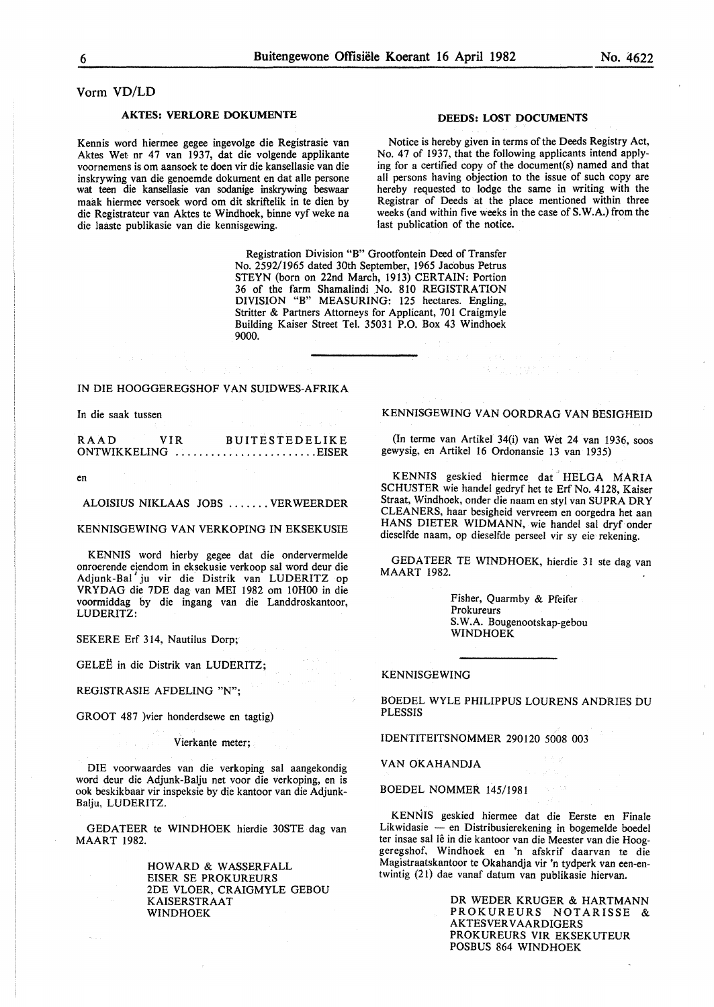#### Vorm VD/LD

#### AKTES: VERLORE DOKUMENTE

Kennis word hiermee gegee ingevolge die Registrasie van Aktes Wet nr 47 van 1937, dat die volgende applikante voornemens is om aansoek te doen vir die kansellasie van die inskrywing van die genoemde dokument en dat aile persone wat teen die kansellasie van sodanige inskrywing beswaar maak hiermee versoek word om dit skriftelik in te dien by die Registrateur van Aktes te Windhoek, binne vyf weke na die laaste publikasie van die kennisgewing.

#### DEEDS: LOST DOCUMENTS

Notice is hereby given in terms of the Deeds Registry Act, No. 47 of 1937, that the following applicants intend applying for a certified copy of the document(s) named and that all persons having objection to the issue of such copy are hereby requested to lodge the same in writing with the Registrar of Deeds at the place mentioned within three weeks (and within five weeks in the case of S.W.A.) from the last publication of the notice.

Registration Division "B" Grootfontein Deed of Transfer No. 2592/1965 dated 30th September, 1965 Jacobus Petrus STEYN (born on 22nd March, 1913) CERTAIN: Portion 36 of the farm Shamalindi No. 810 REGISTRATION DIVISION "B" MEASURING: 125 hectares. Engling, Stritter & Partners Attorneys for Applicant, 701 Craigmyle Building Kaiser Street Tel. 35031 P.O. Box 43 Windhoek 9000.

#### IN DIE HOOGGEREGSHOF VAN SUIDWES-AFRIKA

In die saak tussen

RAAD VIR BUITESTEDELIKE ONTWIKKELING .........................EISER

en

ALOISIUS NIKLAAS JOBS ....... VERWEERDER

KENNISGEWING VAN VERKOPING IN EKSEKUSIE

KENNIS word hierby gegee dat die ondervermelde onroerende eiendom in eksekusie verkoop sal word deur die Adjunk-Bal' ju vir die Distrik van LUDERITZ op VRYDAG die 7DE dag van MEl 1982 om lOHOO in die voormiddag by die ingang van die Landdroskantoor, LUDERITZ:

GELEE in die Distrik van LUDERITZ;

REGISTRASIE AFDELING "N";

GROOT 487 )vier honderdsewe en tagtig)

Vierkante meter;

DIE voorwaardes van die verkoping sal aangekondig word deur die Adjunk-Balju net voor die verkoping, en is ook beskikbaar vir inspeksie by die kantoor van die Adjunk-Balju, LUDERITZ.

GEDATEER te WINDHOEK hierdie 30STE dag van MAART 1982.

> HOWARD & WASSERFALL ElSER SE PROKUREURS 2DE VLOER, CRAIGMYLE GEBOU KAISERSTRAAT WINDHOEK

#### KENNISGEWING VAN OORDRAG VAN BESIGHEID

(In terme van Artikel 34(i) van Wet 24 van 1936, soos gewysig, en Artikel 16 Ordonansie 13 van 1935)

KENNIS geskied hiermee dat HELGA MARIA SCHUSTER wie handel gedryf het te Erf No. 4128, Kaiser Straat, Windhoek, onder die naam en sty! van SUPRA DRY CLEANERS, haar besigheid vervreem en oorgedra het aan HANS DIETER WIDMANN, wie handel sal dryf onder dieselfde naam, op dieselfde perseel vir sy eie rekening.

GEDATEER TE WINDHOEK, hierdie 31 ste dag van MAART 1982.

> Fisher, Quarmby & Pfeifer Prokureurs S.W.A. Bougenootskap-gebou WINDHOEK

#### KENNISGEWING

BOEDEL WYLE PHILIPPUS LOURENS ANDRIES DU **PLESSIS** 

IDENTITEITSNOMMER 290120 5008 003

VAN OKAHANDJA

BOEDEL NOMMER 145/1981

KENNIS geskied hiermee dat die Eerste en Finale Likwidasie - en Distribusierekening in bogemelde boedel ter insae sal lê in die kantoor van die Meester van die Hooggeregshof, Windhoek en 'n afskrif daarvan te die Magistraatskantoor te Okahandja vir 'n tydperk van een-entwintig (21) dae vanaf datum van publikasie hiervan.

> DR WEDER KRUGER & HARTMANN PROKUREURS NOTARISSE & **AKTESVERVAARDIGERS** PROKUREURS VIR EKSEKUTEUR POSBUS 864 WINDHOEK

SEKERE Erf 314, Nautilus Dorp;